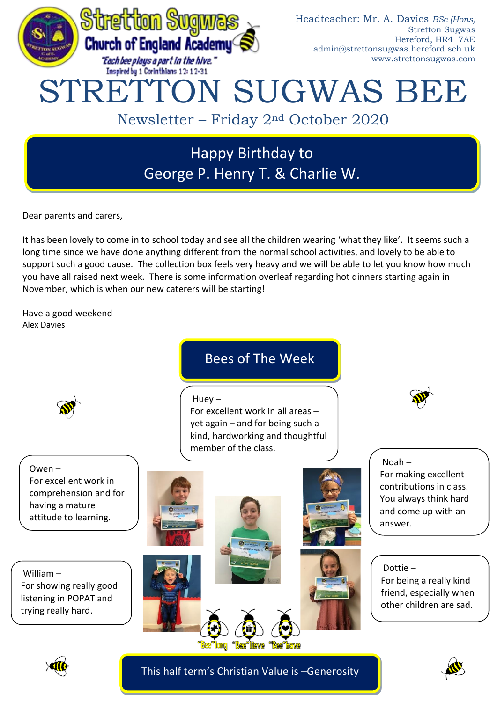

# Happy Birthday to George P. Henry T. & Charlie W.

Dear parents and carers,

It has been lovely to come in to school today and see all the children wearing 'what they like'. It seems such a long time since we have done anything different from the normal school activities, and lovely to be able to support such a good cause. The collection box feels very heavy and we will be able to let you know how much you have all raised next week. There is some information overleaf regarding hot dinners starting again in November, which is when our new caterers will be starting!

Have a good weekend Alex Davies

Bees of The Week

 $Huev -$ 

For excellent work in all areas – yet again – and for being such a kind, hardworking and thoughtful member of the class.



Owen – For excellent work in comprehension and for having a mature attitude to learning.

William – For showing really good listening in POPAT and trying really hard.



Noah – For making excellent contributions in class. You always think hard and come up with an answer.

Dottie – For being a really kind friend, especially when other children are sad.



This half term's Christian Value is –Generosity